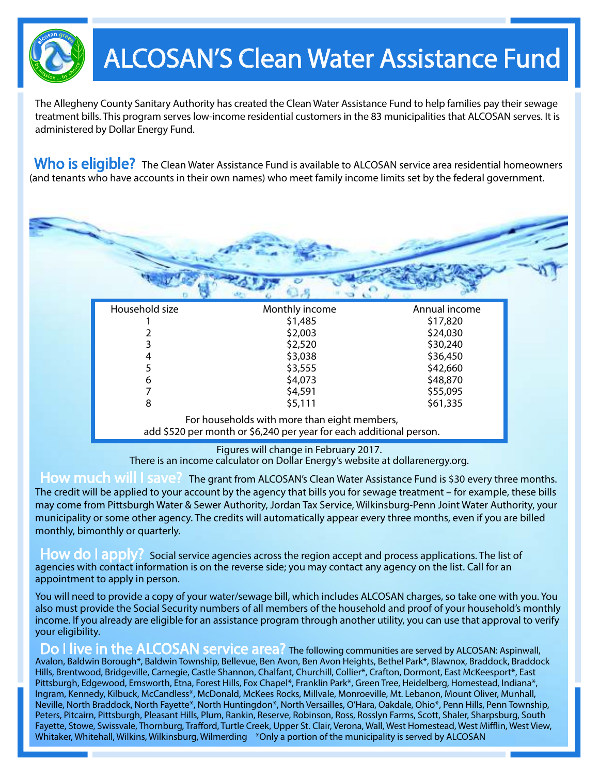

## ALCOSAN'S Clean Water Assistance Fund

The Allegheny County Sanitary Authority has created the Clean Water Assistance Fund to help families pay their sewage treatment bills. This program serves low-income residential customers in the 83 municipalities that ALCOSAN serves. It is administered by Dollar Energy Fund.

Who is eligible? The Clean Water Assistance Fund is available to ALCOSAN service area residential homeowners (and tenants who have accounts in their own names) who meet family income limits set by the federal government.

| Household size | Monthly income | Annual income |
|----------------|----------------|---------------|
|                | \$1,485        | \$17,820      |
|                | \$2,003        | \$24,030      |
|                | \$2,520        | \$30,240      |
|                | \$3,038        | \$36,450      |
|                | \$3,555        | \$42,660      |
| 6              | \$4,073        | \$48,870      |
|                | \$4,591        | \$55,095      |
| 8              | \$5,111        | \$61,335      |

Figures will change in February 2017. There is an income calculator on Dollar Energy's website at dollarenergy.org.

How much will I save? The grant from ALCOSAN's Clean Water Assistance Fund is \$30 every three months. The credit will be applied to your account by the agency that bills you for sewage treatment – for example, these bills may come from Pittsburgh Water & Sewer Authority, Jordan Tax Service, Wilkinsburg-Penn Joint Water Authority, your municipality or some other agency. The credits will automatically appear every three months, even if you are billed monthly, bimonthly or quarterly.

How do I apply? Social service agencies across the region accept and process applications. The list of agencies with contact information is on the reverse side; you may contact any agency on the list. Call for an appointment to apply in person.

You will need to provide a copy of your water/sewage bill, which includes ALCOSAN charges, so take one with you. You also must provide the Social Security numbers of all members of the household and proof of your household's monthly income. If you already are eligible for an assistance program through another utility, you can use that approval to verify your eligibility.

Do I live in the ALCOSAN service area? The following communities are served by ALCOSAN: Aspinwall, Avalon, Baldwin Borough\*, Baldwin Township, Bellevue, Ben Avon, Ben Avon Heights, Bethel Park\*, Blawnox, Braddock, Braddock Hills, Brentwood, Bridgeville, Carnegie, Castle Shannon, Chalfant, Churchill, Collier\*, Crafton, Dormont, East McKeesport\*, East Pittsburgh, Edgewood, Emsworth, Etna, Forest Hills, Fox Chapel\*, Franklin Park\*, Green Tree, Heidelberg, Homestead, Indiana\*, Ingram, Kennedy, Kilbuck, McCandless\*, McDonald, McKees Rocks, Millvale, Monroeville, Mt. Lebanon, Mount Oliver, Munhall, Neville, North Braddock, North Fayette\*, North Huntingdon\*, North Versailles, O'Hara, Oakdale, Ohio\*, Penn Hills, Penn Township, Peters, Pitcairn, Pittsburgh, Pleasant Hills, Plum, Rankin, Reserve, Robinson, Ross, Rosslyn Farms, Scott, Shaler, Sharpsburg, South Fayette, Stowe, Swissvale, Thornburg, Trafford, Turtle Creek, Upper St. Clair, Verona, Wall, West Homestead, West Mifflin, West View, Whitaker, Whitehall, Wilkins, Wilkinsburg, Wilmerding \*Only a portion of the municipality is served by ALCOSAN